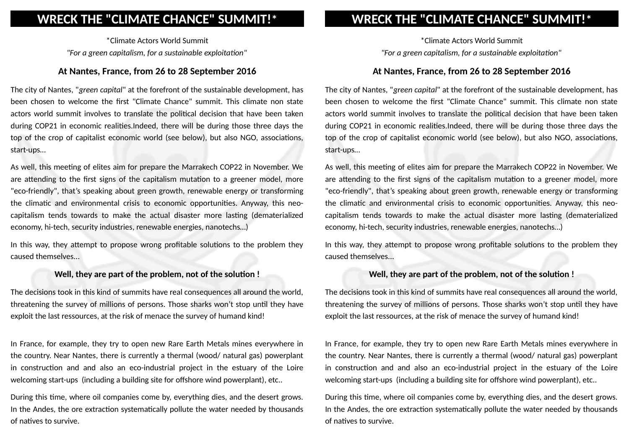# **WRECK THE "CLIMATE CHANCE" SUMMIT!\***

\*Climate Actors World Summit *"For a green capitalism, for a sustainable exploitation"*

### **At Nantes, France, from 26 to 28 September 2016**

The city of Nantes, "*green capital*" at the forefront of the sustainable development, has been chosen to welcome the first "Climate Chance" summit. This climate non state actors world summit involves to translate the political decision that have been taken during COP21 in economic realities.Indeed, there will be during those three days the top of the crop of capitalist economic world (see below), but also NGO, associations, start-ups…

As well, this meeting of elites aim for prepare the Marrakech COP22 in November. We are attending to the first signs of the capitalism mutation to a greener model, more "eco-friendly", that's speaking about green growth, renewable energy or transforming the climatic and environmental crisis to economic opportunities. Anyway, this neocapitalism tends towards to make the actual disaster more lasting (dematerialized economy, hi-tech, security industries, renewable energies, nanotechs…)

In this way, they attempt to propose wrong profitable solutions to the problem they caused themselves...

#### **Well, they are part of the problem, not of the solution !**

The decisions took in this kind of summits have real consequences all around the world, threatening the survey of millions of persons. Those sharks won't stop until they have exploit the last ressources, at the risk of menace the survey of humand kind!

In France, for example, they try to open new Rare Earth Metals mines everywhere in the country. Near Nantes, there is currently a thermal (wood/ natural gas) powerplant in construction and and also an eco-industrial project in the estuary of the Loire welcoming start-ups (including a building site for offshore wind powerplant), etc..

During this time, where oil companies come by, everything dies, and the desert grows. In the Andes, the ore extraction systematically pollute the water needed by thousands of natives to survive.

# **WRECK THE "CLIMATE CHANCE" SUMMIT!\***

\*Climate Actors World Summit *"For a green capitalism, for a sustainable exploitation"*

### **At Nantes, France, from 26 to 28 September 2016**

The city of Nantes, "*green capital*" at the forefront of the sustainable development, has been chosen to welcome the first "Climate Chance" summit. This climate non state actors world summit involves to translate the political decision that have been taken during COP21 in economic realities.Indeed, there will be during those three days the top of the crop of capitalist economic world (see below), but also NGO, associations, start-ups…

As well, this meeting of elites aim for prepare the Marrakech COP22 in November. We are attending to the first signs of the capitalism mutation to a greener model, more "eco-friendly", that's speaking about green growth, renewable energy or transforming the climatic and environmental crisis to economic opportunities. Anyway, this neocapitalism tends towards to make the actual disaster more lasting (dematerialized economy, hi-tech, security industries, renewable energies, nanotechs…)

In this way, they attempt to propose wrong profitable solutions to the problem they caused themselves...

#### **Well, they are part of the problem, not of the solution !**

The decisions took in this kind of summits have real consequences all around the world, threatening the survey of millions of persons. Those sharks won't stop until they have exploit the last ressources, at the risk of menace the survey of humand kind!

In France, for example, they try to open new Rare Earth Metals mines everywhere in the country. Near Nantes, there is currently a thermal (wood/ natural gas) powerplant in construction and and also an eco-industrial project in the estuary of the Loire welcoming start-ups (including a building site for offshore wind powerplant), etc..

During this time, where oil companies come by, everything dies, and the desert grows. In the Andes, the ore extraction systematically pollute the water needed by thousands of natives to survive.